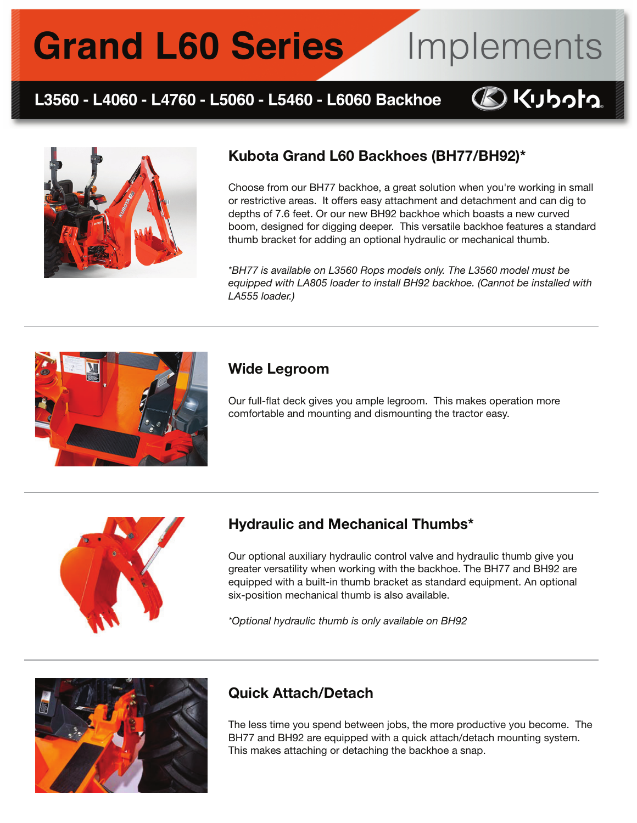# **Grand L60 Series**

### L3560 - L4060 - L4760 - L5060 - L5460 - L6060 Backhoe



### Kubota Grand L60 Backhoes (BH77/BH92)\*

Choose from our BH77 backhoe, a great solution when you're working in small or restrictive areas. It offers easy attachment and detachment and can dig to depths of 7.6 feet. Or our new BH92 backhoe which boasts a new curved boom, designed for digging deeper. This versatile backhoe features a standard thumb bracket for adding an optional hydraulic or mechanical thumb.

Implements

**BKubota** 

*\*BH77 is available on L3560 Rops models only. The L3560 model must be equipped with LA805 loader to install BH92 backhoe. (Cannot be installed with LA555 loader.)*



#### Wide Legroom

Our full-flat deck gives you ample legroom. This makes operation more comfortable and mounting and dismounting the tractor easy.



#### Hydraulic and Mechanical Thumbs\*

Our optional auxiliary hydraulic control valve and hydraulic thumb give you greater versatility when working with the backhoe. The BH77 and BH92 are equipped with a built-in thumb bracket as standard equipment. An optional six-position mechanical thumb is also available.

*\*Optional hydraulic thumb is only available on BH92*



### Quick Attach/Detach

The less time you spend between jobs, the more productive you become. The BH77 and BH92 are equipped with a quick attach/detach mounting system. This makes attaching or detaching the backhoe a snap.